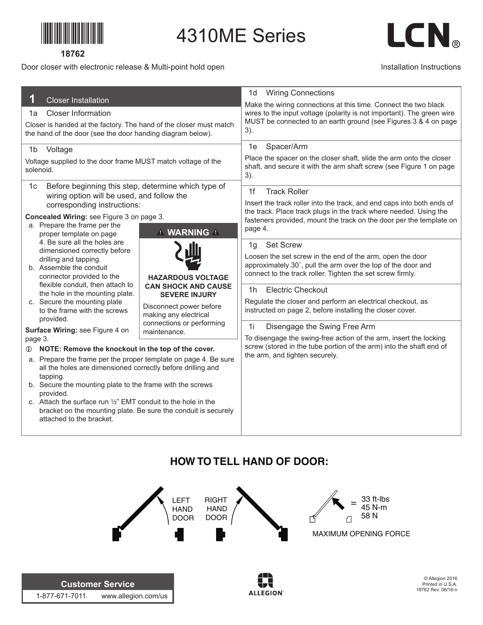

## **18762**

## Door closer with electronic release & Multi-point hold open

1-877-671-7011 www.allegion.com/us



### Installation Instructions

| 1<br><b>Closer Installation</b>                                                                                                  | <b>Wiring Connections</b><br>1d                                                                                                                                                                              |
|----------------------------------------------------------------------------------------------------------------------------------|--------------------------------------------------------------------------------------------------------------------------------------------------------------------------------------------------------------|
| <b>Closer Information</b><br>1a                                                                                                  | Make the wiring connections at this time. Connect the two black<br>wires to the input voltage (polarity is not important). The green wire<br>MUST be connected to an earth ground (see Figures 3 & 4 on page |
| Closer is handed at the factory. The hand of the closer must match<br>the hand of the door (see the door handing diagram below). | 3).                                                                                                                                                                                                          |
| Voltage<br>1 <sub>b</sub>                                                                                                        | Spacer/Arm<br>1e<br>Place the spacer on the closer shaft, slide the arm onto the closer                                                                                                                      |
| Voltage supplied to the door frame MUST match voltage of the<br>solenoid.                                                        | shaft, and secure it with the arm shaft screw (see Figure 1 on page<br>3).                                                                                                                                   |
| Before beginning this step, determine which type of<br>1с<br>wiring option will be used, and follow the                          | <b>Track Roller</b><br>1f                                                                                                                                                                                    |
| corresponding instructions:                                                                                                      | Insert the track roller into the track, and end caps into both ends of<br>the track. Place track plugs in the track where needed. Using the                                                                  |
| Concealed Wiring: see Figure 3 on page 3.<br>a. Prepare the frame per the                                                        | fasteners provided, mount the track on the door per the template on<br>page 4.                                                                                                                               |
| <b>1 WARNING A</b><br>proper template on page                                                                                    |                                                                                                                                                                                                              |
| 4. Be sure all the holes are<br>dimensioned correctly before                                                                     | <b>Set Screw</b><br>1g                                                                                                                                                                                       |
| drilling and tapping.<br>b. Assemble the conduit                                                                                 | Loosen the set screw in the end of the arm, open the door<br>approximately 30°, pull the arm over the top of the door and                                                                                    |
| connector provided to the<br><b>HAZARDOUS VOLTAGE</b>                                                                            | connect to the track roller. Tighten the set screw firmly.                                                                                                                                                   |
| flexible conduit, then attach to<br><b>CAN SHOCK AND CAUSE</b><br>the hole in the mounting plate.<br><b>SEVERE INJURY</b>        | <b>Electric Checkout</b><br>1 <sub>h</sub>                                                                                                                                                                   |
| c. Secure the mounting plate<br>Disconnect power before<br>to the frame with the screws                                          | Regulate the closer and perform an electrical checkout, as<br>instructed on page 2, before installing the closer cover.                                                                                      |
| making any electrical<br>provided.<br>connections or performing                                                                  |                                                                                                                                                                                                              |
| Surface Wiring: see Figure 4 on<br>maintenance.<br>page 3.                                                                       | 1i<br>Disengage the Swing Free Arm<br>To disengage the swing-free action of the arm, insert the locking                                                                                                      |
| NOTE: Remove the knockout in the top of the cover.<br>$\circ$                                                                    | screw (stored in the tube portion of the arm) into the shaft end of<br>the arm, and tighten securely.                                                                                                        |
| a. Prepare the frame per the proper template on page 4. Be sure                                                                  |                                                                                                                                                                                                              |
| all the holes are dimensioned correctly before drilling and<br>tapping.                                                          |                                                                                                                                                                                                              |
| b. Secure the mounting plate to the frame with the screws<br>provided.                                                           |                                                                                                                                                                                                              |
| c. Attach the surface run 1/2" EMT conduit to the hole in the                                                                    |                                                                                                                                                                                                              |
| bracket on the mounting plate. Be sure the conduit is securely<br>attached to the bracket.                                       |                                                                                                                                                                                                              |
|                                                                                                                                  |                                                                                                                                                                                                              |

4310ME Series

# **HOW TO TELL HAND OF DOOR:**



**ALLEGION**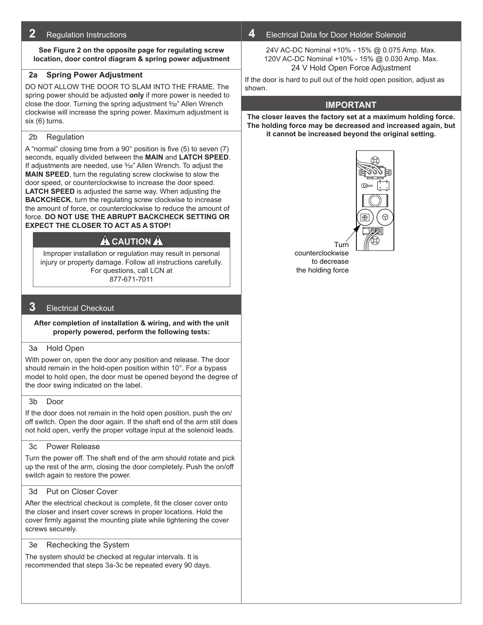## **2** Regulation Instructions

**See Figure 2 on the opposite page for regulating screw location, door control diagram & spring power adjustment**

## **2a Spring Power Adjustment**

DO NOT ALLOW THE DOOR TO SLAM INTO THE FRAME. The spring power should be adjusted **only** if more power is needed to close the door. Turning the spring adjustment 5/32" Allen Wrench clockwise will increase the spring power. Maximum adjustment is six (6) turns.

#### 2b Regulation

A "normal" closing time from a 90° position is five (5) to seven (7) seconds, equally divided between the **MAIN** and **LATCH SPEED**. If adjustments are needed, use  $\frac{3}{2}$ " Allen Wrench. To adjust the **MAIN SPEED**, turn the regulating screw clockwise to slow the door speed, or counterclockwise to increase the door speed. **LATCH SPEED** is adjusted the same way. When adjusting the **BACKCHECK**, turn the regulating screw clockwise to increase the amount of force, or counterclockwise to reduce the amount of force. **DO NOT USE THE ABRUPT BACKCHECK SETTING OR EXPECT THE CLOSER TO ACT AS A STOP!**

## **A** CAUTION A

Improper installation or regulation may result in personal injury or property damage. Follow all instructions carefully. For questions, call LCN at 877-671-7011

## **3** Electrical Checkout

**After completion of installation & wiring, and with the unit properly powered, perform the following tests:**

#### 3a Hold Open

With power on, open the door any position and release. The door should remain in the hold-open position within 10°. For a bypass model to hold open, the door must be opened beyond the degree of the door swing indicated on the label.

#### 3b Door

If the door does not remain in the hold open position, push the on/ off switch. Open the door again. If the shaft end of the arm still does not hold open, verify the proper voltage input at the solenoid leads.

### 3c Power Release

Turn the power off. The shaft end of the arm should rotate and pick up the rest of the arm, closing the door completely. Push the on/off switch again to restore the power.

#### 3d Put on Closer Cover

After the electrical checkout is complete, fit the closer cover onto the closer and insert cover screws in proper locations. Hold the cover firmly against the mounting plate while tightening the cover screws securely.

### 3e Rechecking the System

The system should be checked at regular intervals. It is recommended that steps 3a-3c be repeated every 90 days.

## **4** Electrical Data for Door Holder Solenoid

24V AC-DC Nominal +10% - 15% @ 0.075 Amp. Max. 120V AC-DC Nominal +10% - 15% @ 0.030 Amp. Max. 24 V Hold Open Force Adjustment

If the door is hard to pull out of the hold open position, adjust as shown.

## **Important**

**The closer leaves the factory set at a maximum holding force. The holding force may be decreased and increased again, but it cannot be increased beyond the original setting.**



Turn counterclockwise to decrease the holding force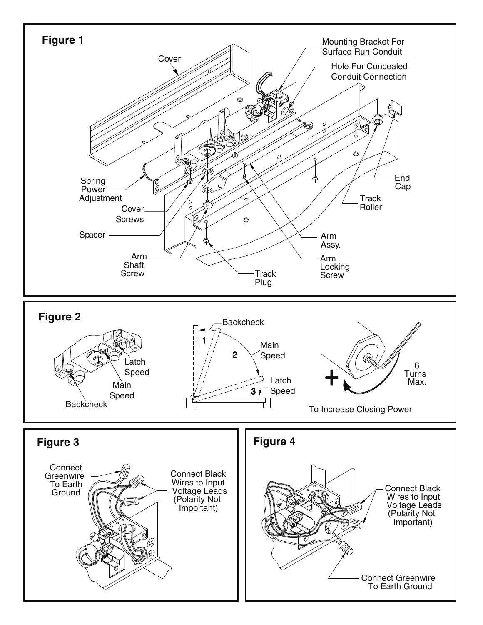